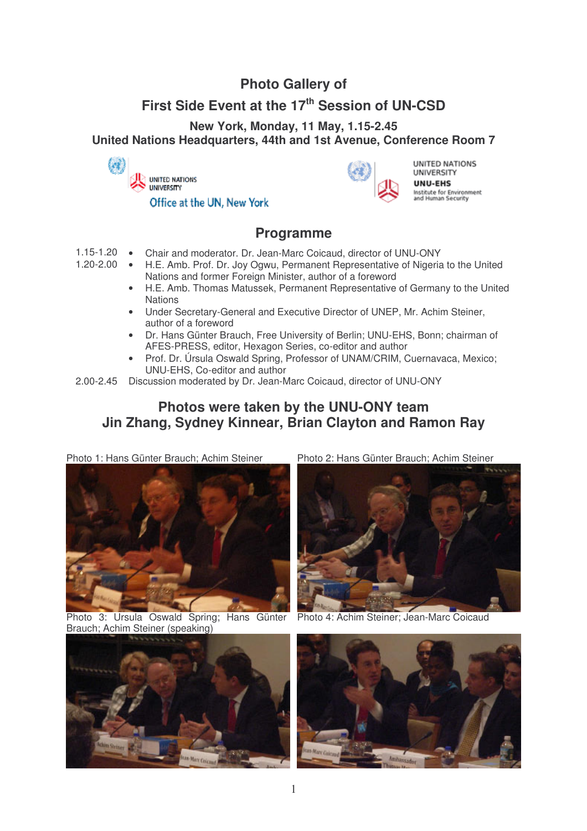## **Photo Gallery of**

## **First Side Event at the 17 th Session of UN-CSD**

**New York, Monday, 11 May, 1.15-2.45**

**United Nations Headquarters, 44th and 1st Avenue, Conference Room 7**





UNITED NATIONS UNIVERSITY UNU-EHS Institute for Environment<br>and Human Security

## **Programme**

- 1.15-1.20 Chair and moderator. Dr. Jean-Marc Coicaud, director of UNU-ONY<br>1.20-2.00 H F Amb Prof Dr. Joy Ogwu, Permanent Representative of Nigeria
	- H.E. Amb. Prof. Dr. Joy Ogwu, Permanent Representative of Nigeria to the United Nations and former Foreign Minister, author of a foreword
		- H.E. Amb. Thomas Matussek, Permanent Representative of Germany to the United **Nations**
		- Under Secretary-General and Executive Director of UNEP, Mr. Achim Steiner, author of a foreword
		- Dr. Hans Günter Brauch, Free University of Berlin; UNU-EHS, Bonn; chairman of AFES-PRESS, editor, Hexagon Series, co-editor and author
		- Prof. Dr. Úrsula Oswald Spring, Professor of UNAM/CRIM, Cuernavaca, Mexico; UNU-EHS, Co-editor and author
- 2.00-2.45 Discussion moderated by Dr. Jean-Marc Coicaud, director of UNU-ONY

## **Photos were taken by the UNU-ONY team Jin Zhang, Sydney Kinnear, Brian Clayton and Ramon Ray**

Photo 1: Hans Günter Brauch; Achim Steiner Photo 2: Hans Günter Brauch; Achim Steiner



Photo 3: Ursula Oswald Spring; Hans Günter Brauch; Achim Steiner (speaking)





Photo 4: Achim Steiner; Jean-Marc Coicaud

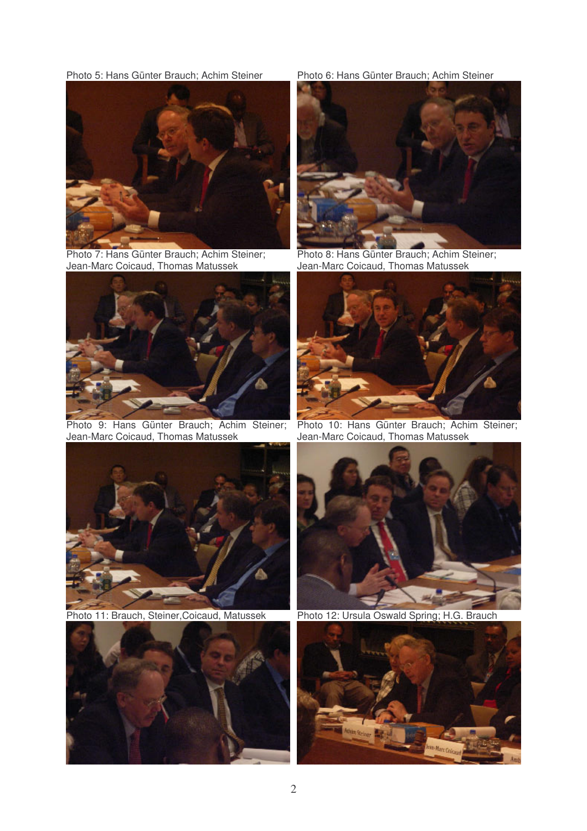Photo 5: Hans Günter Brauch; Achim Steiner Photo 6: Hans Günter Brauch; Achim Steiner



Photo 7: Hans Günter Brauch; Achim Steiner; Jean-Marc Coicaud, Thomas Matussek



Photo 9: Hans Günter Brauch; Achim Steiner; Jean-Marc Coicaud, Thomas Matussek







Photo 8: Hans Günter Brauch; Achim Steiner; Jean-Marc Coicaud, Thomas Matussek



Photo 10: Hans Günter Brauch; Achim Steiner; Jean-Marc Coicaud, Thomas Matussek



Photo 11: Brauch, Steiner, Coicaud, Matussek Photo 12: Ursula Oswald Spring; H.G. Brauch

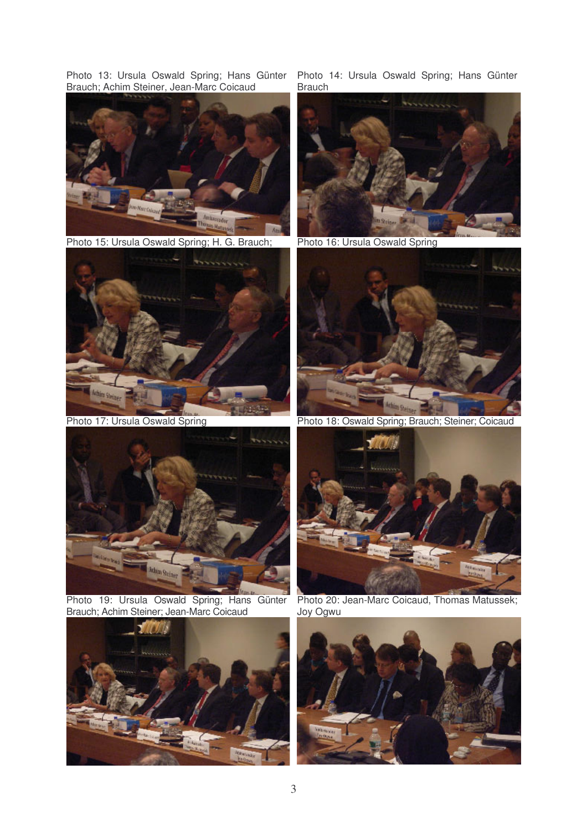Photo 13: Ursula Oswald Spring; Hans Günter Brauch; Achim Steiner, Jean-Marc Coicaud



Photo 15: Ursula Oswald Spring; H. G. Brauch; Photo 16: Ursula Oswald Spring





Photo 19: Ursula Oswald Spring; Hans Günter Brauch; Achim Steiner; Jean-Marc Coicaud



Photo 14: Ursula Oswald Spring; Hans Günter Brauch





Photo 17: Ursula Oswald Spring Photo 18: Oswald Spring; Brauch; Steiner; Coicaud



Photo 20: Jean-Marc Coicaud, Thomas Matussek; Joy Ogwu

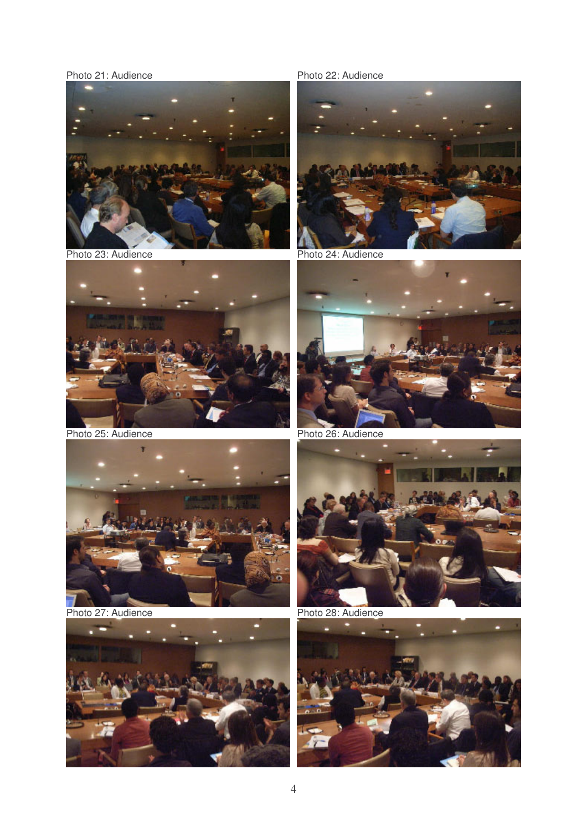Photo 21: Audience Photo 22: Audience



Photo 23: Audience Photo 24: Audience



Photo 25: Audience Photo 26: Audience